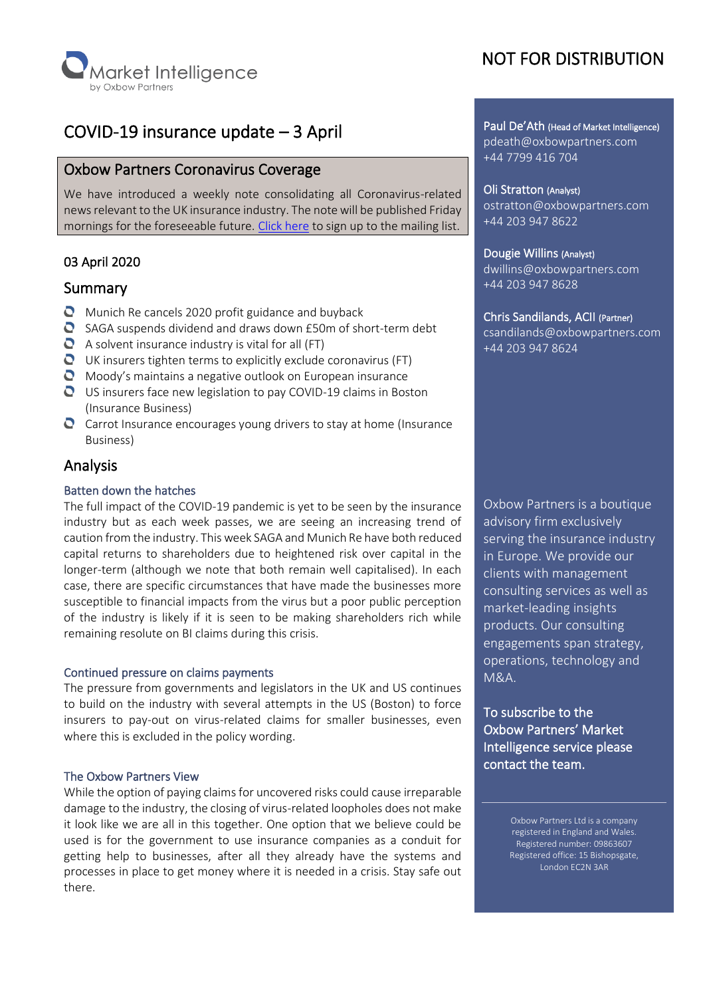

# COVID-19 insurance update – 3 April

### Oxbow Partners Coronavirus Coverage

We have introduced a weekly note consolidating all Coronavirus-related news relevant to the UK insurance industry. The note will be published Friday mornings for the foreseeable future. [Click here](https://mailchi.mp/oxbowpartners.com/coronavirusupdates) to sign up to the mailing list.

### 03 April 2020

### Summary

- $\bullet$  Munich Re cancels 2020 profit guidance and buyback
- SAGA suspends dividend and draws down £50m of short-term debt
- $\bullet$  A solvent insurance industry is vital for all (FT)
- $\bullet$  UK insurers tighten terms to explicitly exclude coronavirus (FT)
- **O** Moody's maintains a negative outlook on European insurance
- US insurers face new legislation to pay COVID-19 claims in Boston (Insurance Business)
- Carrot Insurance encourages young drivers to stay at home (Insurance Business)

## Analysis

#### Batten down the hatches

The full impact of the COVID-19 pandemic is yet to be seen by the insurance industry but as each week passes, we are seeing an increasing trend of caution from the industry. This week SAGA and Munich Re have both reduced capital returns to shareholders due to heightened risk over capital in the longer-term (although we note that both remain well capitalised). In each case, there are specific circumstances that have made the businesses more susceptible to financial impacts from the virus but a poor public perception of the industry is likely if it is seen to be making shareholders rich while remaining resolute on BI claims during this crisis.

#### Continued pressure on claims payments

The pressure from governments and legislators in the UK and US continues to build on the industry with several attempts in the US (Boston) to force insurers to pay-out on virus-related claims for smaller businesses, even where this is excluded in the policy wording.

#### The Oxbow Partners View

While the option of paying claims for uncovered risks could cause irreparable damage to the industry, the closing of virus-related loopholes does not make it look like we are all in this together. One option that we believe could be used is for the government to use insurance companies as a conduit for getting help to businesses, after all they already have the systems and processes in place to get money where it is needed in a crisis. Stay safe out there.

# NOT FOR DISTRIBUTION

Paul De'Ath (Head of Market Intelligence) pdeath@oxbowpartners.com +44 7799 416 704

## Oli Stratton (Analyst)

ostratton@oxbowpartners.com +44 203 947 8622

#### Dougie Willins (Analyst)

dwillins@oxbowpartners.com +44 203 947 8628

#### Chris Sandilands, ACII (Partner)

csandilands@oxbowpartners.com +44 203 947 8624

Oxbow Partners is a boutique advisory firm exclusively serving the insurance industry in Europe. We provide our clients with management consulting services as well as market-leading insights products. Our consulting engagements span strategy, operations, technology and M&A.

To subscribe to the Oxbow Partners' Market Intelligence service please contact the team.

> Oxbow Partners Ltd is a company registered in England and Wales. Registered number: 09863607 Registered office: 15 Bishopsgate, London EC2N 3AR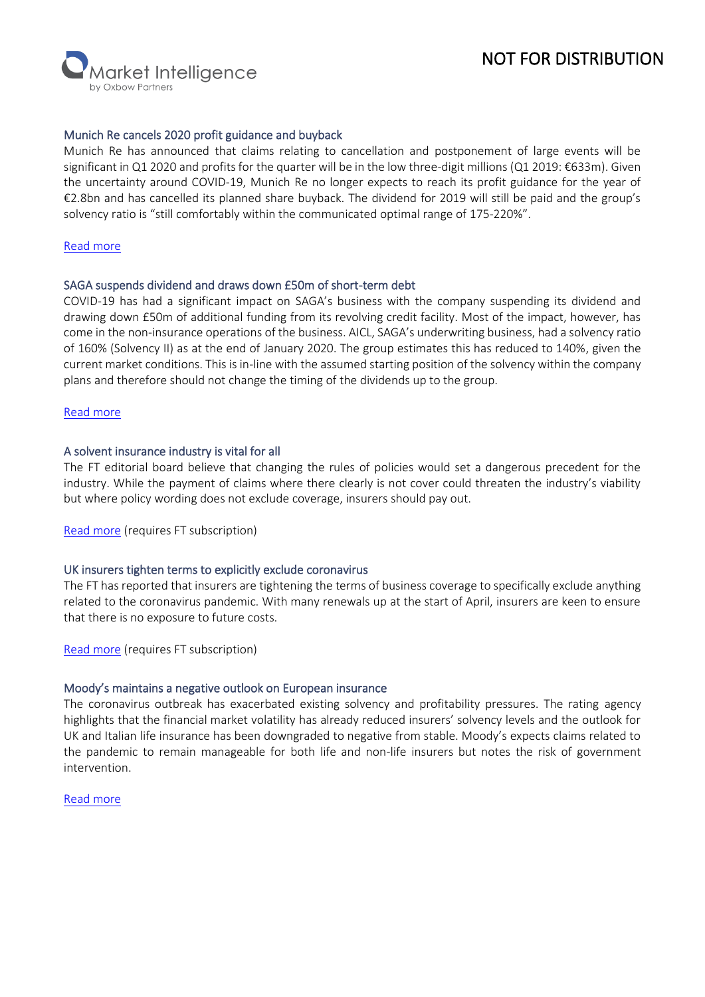# NOT FOR DISTRIBUTION

**Narket Intelligence** 

#### Munich Re cancels 2020 profit guidance and buyback

Munich Re has announced that claims relating to cancellation and postponement of large events will be significant in Q1 2020 and profits for the quarter will be in the low three-digit millions (Q1 2019: €633m). Given the uncertainty around COVID-19, Munich Re no longer expects to reach its profit guidance for the year of €2.8bn and has cancelled its planned share buyback. The dividend for 2019 will still be paid and the group's solvency ratio is "still comfortably within the communicated optimal range of 175-220%".

#### [Read more](https://www.munichre.com/en/company/investors/mandatory-announcements/ad-hoc-announcements/2020-03-31-ad-hoc.html)

#### SAGA suspends dividend and draws down £50m of short-term debt

COVID-19 has had a significant impact on SAGA's business with the company suspending its dividend and drawing down £50m of additional funding from its revolving credit facility. Most of the impact, however, has come in the non-insurance operations of the business. AICL, SAGA's underwriting business, had a solvency ratio of 160% (Solvency II) as at the end of January 2020. The group estimates this has reduced to 140%, given the current market conditions. This is in-line with the assumed starting position of the solvency within the company plans and therefore should not change the timing of the dividends up to the group.

#### [Read more](https://otp.tools.investis.com/clients/uk/saga_limited1/rns/regulatory-story.aspx?cid=852&newsid=1383851)

#### A solvent insurance industry is vital for all

The FT editorial board believe that changing the rules of policies would set a dangerous precedent for the industry. While the payment of claims where there clearly is not cover could threaten the industry's viability but where policy wording does not exclude coverage, insurers should pay out.

[Read more](https://www.ft.com/content/20b9c3c6-7409-11ea-95fe-fcd274e920ca) (requires FT subscription)

#### UK insurers tighten terms to explicitly exclude coronavirus

The FT has reported that insurers are tightening the terms of business coverage to specifically exclude anything related to the coronavirus pandemic. With many renewals up at the start of April, insurers are keen to ensure that there is no exposure to future costs.

[Read more](https://www.ft.com/content/92518d19-ce35-4af3-90f4-64cb00f8e2f5) (requires FT subscription)

#### Moody's maintains a negative outlook on European insurance

The coronavirus outbreak has exacerbated existing solvency and profitability pressures. The rating agency highlights that the financial market volatility has already reduced insurers' solvency levels and the outlook for UK and Italian life insurance has been downgraded to negative from stable. Moody's expects claims related to the pandemic to remain manageable for both life and non-life insurers but notes the risk of government intervention.

#### [Read more](https://www.moodys.com/research/Moodys-European-insurance-outlook-maintained-as-negative-as-coronavirus-crisis--PBC_1221424)